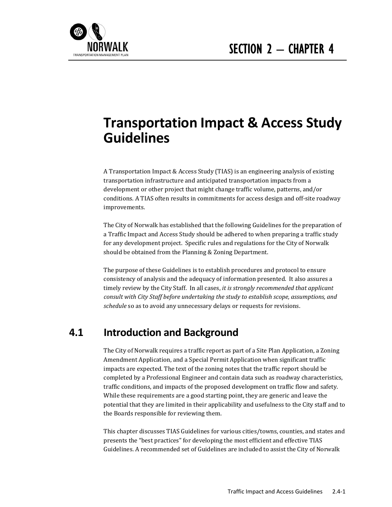

# **Transportation Impact & Access Study Guidelines**

A Transportation Impact & Access Study (TIAS) is an engineering analysis of existing transportation infrastructure and anticipated transportation impacts from a development or other project that might change traffic volume, patterns, and/or conditions. A TIAS often results in commitments for access design and off-site roadway improvements. 

The City of Norwalk has established that the following Guidelines for the preparation of a Traffic Impact and Access Study should be adhered to when preparing a traffic study for any development project. Specific rules and regulations for the City of Norwalk should be obtained from the Planning & Zoning Department.

The purpose of these Guidelines is to establish procedures and protocol to ensure consistency of analysis and the adequacy of information presented. It also assures a timely review by the City Staff. In all cases, *it is strongly recommended that applicant consult with City Staff before undertaking the study to establish scope, assumptions, and* schedule so as to avoid any unnecessary delays or requests for revisions.

## **4.1 Introduction and Background**

The City of Norwalk requires a traffic report as part of a Site Plan Application, a Zoning Amendment Application, and a Special Permit Application when significant traffic impacts are expected. The text of the zoning notes that the traffic report should be completed by a Professional Engineer and contain data such as roadway characteristics, traffic conditions, and impacts of the proposed development on traffic flow and safety. While these requirements are a good starting point, they are generic and leave the potential that they are limited in their applicability and usefulness to the City staff and to the Boards responsible for reviewing them.

This chapter discusses TIAS Guidelines for various cities/towns, counties, and states and presents the "best practices" for developing the most efficient and effective TIAS Guidelines. A recommended set of Guidelines are included to assist the City of Norwalk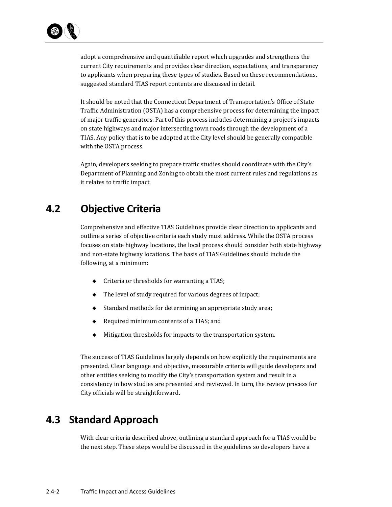adopt a comprehensive and quantifiable report which upgrades and strengthens the current City requirements and provides clear direction, expectations, and transparency to applicants when preparing these types of studies. Based on these recommendations, suggested standard TIAS report contents are discussed in detail.

It should be noted that the Connecticut Department of Transportation's Office of State Traffic Administration (OSTA) has a comprehensive process for determining the impact of major traffic generators. Part of this process includes determining a project's impacts on state highways and major intersecting town roads through the development of a TIAS. Any policy that is to be adopted at the City level should be generally compatible with the OSTA process.

Again, developers seeking to prepare traffic studies should coordinate with the City's Department of Planning and Zoning to obtain the most current rules and regulations as it relates to traffic impact.

## **4.2 Objective Criteria**

Comprehensive and effective TIAS Guidelines provide clear direction to applicants and outline a series of objective criteria each study must address. While the OSTA process focuses on state highway locations, the local process should consider both state highway and non-state highway locations. The basis of TIAS Guidelines should include the following, at a minimum:

- $\bullet$  Criteria or thresholds for warranting a TIAS;
- $\blacklozenge$  The level of study required for various degrees of impact;
- $\blacklozenge$  Standard methods for determining an appropriate study area;
- $\bullet$  Required minimum contents of a TIAS; and
- $\blacklozenge$  Mitigation thresholds for impacts to the transportation system.

The success of TIAS Guidelines largely depends on how explicitly the requirements are presented. Clear language and objective, measurable criteria will guide developers and other entities seeking to modify the City's transportation system and result in a consistency in how studies are presented and reviewed. In turn, the review process for City officials will be straightforward.

## **4.3 Standard Approach**

With clear criteria described above, outlining a standard approach for a TIAS would be the next step. These steps would be discussed in the guidelines so developers have a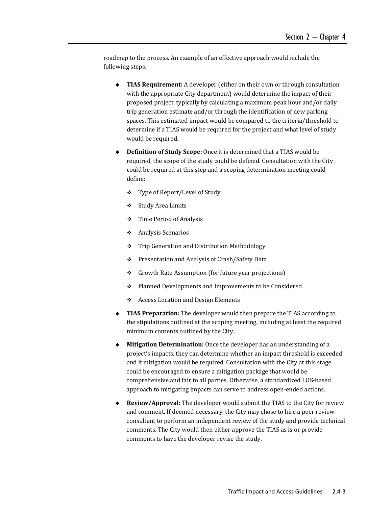roadmap to the process. An example of an effective approach would include the following steps:

- ◆ TIAS Requirement: A developer (either on their own or through consultation with the appropriate City department) would determine the impact of their proposed project, typically by calculating a maximum peak hour and/or daily trip generation estimate and/or through the identification of new parking spaces. This estimated impact would be compared to the criteria/threshold to determine if a TIAS would be required for the project and what level of study would be required.
- ◆ **Definition of Study Scope:** Once it is determined that a TIAS would be required, the scope of the study could be defined. Consultation with the City could be required at this step and a scoping determination meeting could define:
	- ❖ Type of Report/Level of Study
	- ❖ Study Area Limits
	- $\div$  Time Period of Analysis
	- Analysis Scenarios
	- ◆ Trip Generation and Distribution Methodology
	- ❖ Presentation and Analysis of Crash/Safety Data
	- $\div$  Growth Rate Assumption (for future year projections)
	- $\div$  Planned Developments and Improvements to be Considered
	- $\triangle$  Access Location and Design Elements
- **TIAS** Preparation: The developer would then prepare the TIAS according to the stipulations outlined at the scoping meeting, including at least the required minimum contents outlined by the City.
- **Mitigation Determination:** Once the developer has an understanding of a project's impacts, they can determine whether an impact threshold is exceeded and if mitigation would be required. Consultation with the City at this stage could be encouraged to ensure a mitigation package that would be comprehensive and fair to all parties. Otherwise, a standardized LOS-based approach to mitigating impacts can serve to address open-ended actions.
- ◆ **Review/Approval:** The developer would submit the TIAS to the City for review and comment. If deemed necessary, the City may chose to hire a peer review consultant to perform an independent review of the study and provide technical comments. The City would then either approve the TIAS as is or provide comments to have the developer revise the study.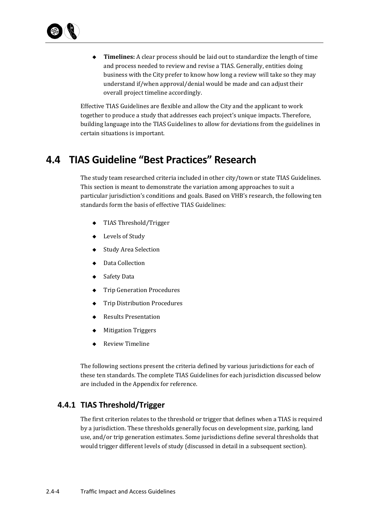

◆ **Timelines:** A clear process should be laid out to standardize the length of time and process needed to review and revise a TIAS. Generally, entities doing business with the City prefer to know how long a review will take so they may understand if/when approval/denial would be made and can adjust their overall project timeline accordingly.

Effective TIAS Guidelines are flexible and allow the City and the applicant to work together to produce a study that addresses each project's unique impacts. Therefore, building language into the TIAS Guidelines to allow for deviations from the guidelines in certain situations is important.

## **4.4 TIAS Guideline "Best Practices" Research**

The study team researched criteria included in other city/town or state TIAS Guidelines. This section is meant to demonstrate the variation among approaches to suit a particular jurisdiction's conditions and goals. Based on VHB's research, the following ten standards form the basis of effective TIAS Guidelines:

- $\triangleleft$  TIAS Threshold/Trigger
- ◆ Levels of Study
- ◆ Study Area Selection
- ◆ Data Collection
- ◆ Safety Data
- ◆ Trip Generation Procedures
- **Trip Distribution Procedures**
- ◆ Results Presentation
- ◆ Mitigation Triggers
- ◆ Review Timeline

The following sections present the criteria defined by various jurisdictions for each of these ten standards. The complete TIAS Guidelines for each jurisdiction discussed below are included in the Appendix for reference.

## **4.4.1 TIAS Threshold/Trigger**

The first criterion relates to the threshold or trigger that defines when a TIAS is required by a jurisdiction. These thresholds generally focus on development size, parking, land use, and/or trip generation estimates. Some jurisdictions define several thresholds that would trigger different levels of study (discussed in detail in a subsequent section).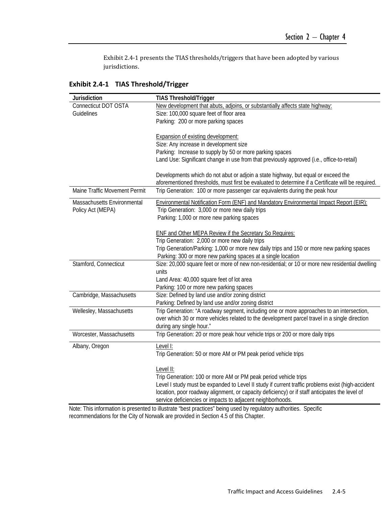Exhibit 2.4-1 presents the TIAS thresholds/triggers that have been adopted by various jurisdictions. 

**Exhibit 2.4‐1 TIAS Threshold/Trigger**

| Jurisdiction                  | <b>TIAS Threshold/Trigger</b>                                                                      |
|-------------------------------|----------------------------------------------------------------------------------------------------|
| Connecticut DOT OSTA          | New development that abuts, adjoins, or substantially affects state highway:                       |
| Guidelines                    | Size: 100,000 square feet of floor area                                                            |
|                               | Parking: 200 or more parking spaces                                                                |
|                               |                                                                                                    |
|                               | <b>Expansion of existing development:</b>                                                          |
|                               | Size: Any increase in development size                                                             |
|                               | Parking: Increase to supply by 50 or more parking spaces                                           |
|                               | Land Use: Significant change in use from that previously approved (i.e., office-to-retail)         |
|                               | Developments which do not abut or adjoin a state highway, but equal or exceed the                  |
|                               | aforementioned thresholds, must first be evaluated to determine if a Certificate will be required. |
| Maine Traffic Movement Permit | Trip Generation: 100 or more passenger car equivalents during the peak hour                        |
| Massachusetts Environmental   | Environmental Notification Form (ENF) and Mandatory Environmental Impact Report (EIR):             |
| Policy Act (MEPA)             | Trip Generation: 3,000 or more new daily trips                                                     |
|                               | Parking: 1,000 or more new parking spaces                                                          |
|                               |                                                                                                    |
|                               | <b>ENF and Other MEPA Review if the Secretary So Requires:</b>                                     |
|                               | Trip Generation: 2,000 or more new daily trips                                                     |
|                               | Trip Generation/Parking: 1,000 or more new daily trips and 150 or more new parking spaces          |
|                               | Parking: 300 or more new parking spaces at a single location                                       |
| Stamford, Connecticut         | Size: 20,000 square feet or more of new non-residential; or 10 or more new residential dwelling    |
|                               | units                                                                                              |
|                               | Land Area: 40,000 square feet of lot area                                                          |
|                               | Parking: 100 or more new parking spaces                                                            |
| Cambridge, Massachusetts      | Size: Defined by land use and/or zoning district                                                   |
|                               | Parking: Defined by land use and/or zoning district                                                |
| Wellesley, Massachusetts      | Trip Generation: "A roadway segment, including one or more approaches to an intersection,          |
|                               | over which 30 or more vehicles related to the development parcel travel in a single direction      |
|                               | during any single hour."                                                                           |
| Worcester, Massachusetts      | Trip Generation: 20 or more peak hour vehicle trips or 200 or more daily trips                     |
| Albany, Oregon                | Level I:                                                                                           |
|                               | Trip Generation: 50 or more AM or PM peak period vehicle trips                                     |
|                               | Level II:                                                                                          |
|                               | Trip Generation: 100 or more AM or PM peak period vehicle trips                                    |
|                               | Level I study must be expanded to Level II study if current traffic problems exist (high-accident  |
|                               | location, poor roadway alignment, or capacity deficiency) or if staff anticipates the level of     |
|                               | service deficiencies or impacts to adjacent neighborhoods.                                         |

Note: This information is presented to illustrate "best practices" being used by regulatory authorities. Specific recommendations for the City of Norwalk are provided in Section 4.5 of this Chapter.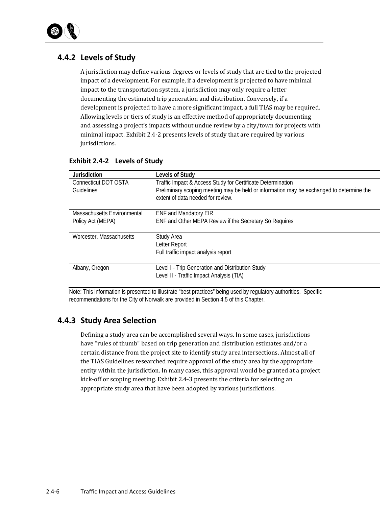

## **4.4.2 Levels of Study**

A jurisdiction may define various degrees or levels of study that are tied to the projected impact of a development. For example, if a development is projected to have minimal impact to the transportation system, a jurisdiction may only require a letter documenting the estimated trip generation and distribution. Conversely, if a development is projected to have a more significant impact, a full TIAS may be required. Allowing levels or tiers of study is an effective method of appropriately documenting and assessing a project's impacts without undue review by a city/town for projects with minimal impact. Exhibit 2.4-2 presents levels of study that are required by various jurisdictions. 

| <b>Jurisdiction</b>         | Levels of Study                                                                          |
|-----------------------------|------------------------------------------------------------------------------------------|
| Connecticut DOT OSTA        | Traffic Impact & Access Study for Certificate Determination                              |
| Guidelines                  | Preliminary scoping meeting may be held or information may be exchanged to determine the |
|                             | extent of data needed for review.                                                        |
|                             |                                                                                          |
| Massachusetts Environmental | <b>ENF and Mandatory EIR</b>                                                             |
| Policy Act (MEPA)           | ENF and Other MEPA Review if the Secretary So Requires                                   |
|                             |                                                                                          |
| Worcester, Massachusetts    | Study Area                                                                               |
|                             | Letter Report                                                                            |
|                             | Full traffic impact analysis report                                                      |
|                             |                                                                                          |
| Albany, Oregon              | Level I - Trip Generation and Distribution Study                                         |
|                             | Level II - Traffic Impact Analysis (TIA)                                                 |

#### **Exhibit 2.4‐2 Levels of Study**

Note: This information is presented to illustrate "best practices" being used by regulatory authorities. Specific recommendations for the City of Norwalk are provided in Section 4.5 of this Chapter.

## **4.4.3 Study Area Selection**

Defining a study area can be accomplished several ways. In some cases, jurisdictions have "rules of thumb" based on trip generation and distribution estimates and/or a certain distance from the project site to identify study area intersections. Almost all of the TIAS Guidelines researched require approval of the study area by the appropriate entity within the jurisdiction. In many cases, this approval would be granted at a project kick-off or scoping meeting. Exhibit 2.4-3 presents the criteria for selecting an appropriate study area that have been adopted by various jurisdictions.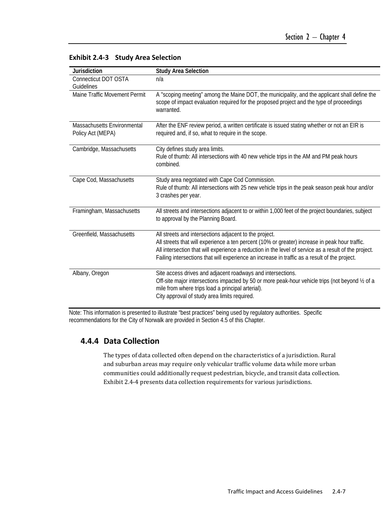| <b>Jurisdiction</b>                              | <b>Study Area Selection</b>                                                                                                                                                                                                                                                                                                                                        |
|--------------------------------------------------|--------------------------------------------------------------------------------------------------------------------------------------------------------------------------------------------------------------------------------------------------------------------------------------------------------------------------------------------------------------------|
| Connecticut DOT OSTA                             | n/a                                                                                                                                                                                                                                                                                                                                                                |
| Guidelines                                       |                                                                                                                                                                                                                                                                                                                                                                    |
| Maine Traffic Movement Permit                    | A "scoping meeting" among the Maine DOT, the municipality, and the applicant shall define the<br>scope of impact evaluation required for the proposed project and the type of proceedings<br>warranted.                                                                                                                                                            |
| Massachusetts Environmental<br>Policy Act (MEPA) | After the ENF review period, a written certificate is issued stating whether or not an EIR is<br>required and, if so, what to require in the scope.                                                                                                                                                                                                                |
| Cambridge, Massachusetts                         | City defines study area limits.                                                                                                                                                                                                                                                                                                                                    |
|                                                  | Rule of thumb: All intersections with 40 new vehicle trips in the AM and PM peak hours<br>combined.                                                                                                                                                                                                                                                                |
| Cape Cod, Massachusetts                          | Study area negotiated with Cape Cod Commission.<br>Rule of thumb: All intersections with 25 new vehicle trips in the peak season peak hour and/or<br>3 crashes per year.                                                                                                                                                                                           |
| Framingham, Massachusetts                        | All streets and intersections adjacent to or within 1,000 feet of the project boundaries, subject<br>to approval by the Planning Board.                                                                                                                                                                                                                            |
| Greenfield, Massachusetts                        | All streets and intersections adjacent to the project.<br>All streets that will experience a ten percent (10% or greater) increase in peak hour traffic.<br>All intersection that will experience a reduction in the level of service as a result of the project.<br>Failing intersections that will experience an increase in traffic as a result of the project. |
| Albany, Oregon                                   | Site access drives and adjacent roadways and intersections.<br>Off-site major intersections impacted by 50 or more peak-hour vehicle trips (not beyond 1/2 of a<br>mile from where trips load a principal arterial).<br>City approval of study area limits required.                                                                                               |

#### **Exhibit 2.4‐3 Study Area Selection**

Note: This information is presented to illustrate "best practices" being used by regulatory authorities. Specific recommendations for the City of Norwalk are provided in Section 4.5 of this Chapter.

## **4.4.4 Data Collection**

The types of data collected often depend on the characteristics of a jurisdiction. Rural and suburban areas may require only vehicular traffic volume data while more urban communities could additionally request pedestrian, bicycle, and transit data collection. Exhibit 2.4-4 presents data collection requirements for various jurisdictions.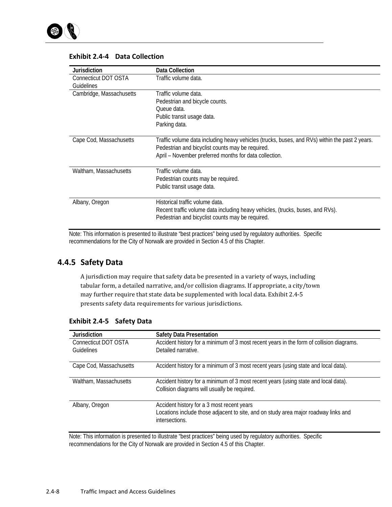

| Jurisdiction             | Data Collection                                                                                |
|--------------------------|------------------------------------------------------------------------------------------------|
| Connecticut DOT OSTA     | Traffic volume data.                                                                           |
| Guidelines               |                                                                                                |
| Cambridge, Massachusetts | Traffic volume data.                                                                           |
|                          | Pedestrian and bicycle counts.                                                                 |
|                          | Oueue data.                                                                                    |
|                          | Public transit usage data.                                                                     |
|                          | Parking data.                                                                                  |
|                          |                                                                                                |
| Cape Cod, Massachusetts  | Traffic volume data including heavy vehicles (trucks, buses, and RVs) within the past 2 years. |
|                          | Pedestrian and bicyclist counts may be required.                                               |
|                          | April - November preferred months for data collection.                                         |
|                          |                                                                                                |
| Waltham, Massachusetts   | Traffic volume data.                                                                           |
|                          | Pedestrian counts may be required.                                                             |
|                          | Public transit usage data.                                                                     |
|                          |                                                                                                |
| Albany, Oregon           | Historical traffic volume data.                                                                |
|                          | Recent traffic volume data including heavy vehicles, (trucks, buses, and RVs).                 |
|                          | Pedestrian and bicyclist counts may be required.                                               |
|                          |                                                                                                |

#### **Exhibit 2.4‐4 Data Collection**

Note: This information is presented to illustrate "best practices" being used by regulatory authorities. Specific recommendations for the City of Norwalk are provided in Section 4.5 of this Chapter.

## **4.4.5 Safety Data**

A jurisdiction may require that safety data be presented in a variety of ways, including tabular form, a detailed narrative, and/or collision diagrams. If appropriate, a city/town may further require that state data be supplemented with local data. Exhibit 2.4-5 presents safety data requirements for various jurisdictions.

| <b>Jurisdiction</b><br>Connecticut DOT OSTA | <b>Safety Data Presentation</b><br>Accident history for a minimum of 3 most recent years in the form of collision diagrams.                         |
|---------------------------------------------|-----------------------------------------------------------------------------------------------------------------------------------------------------|
| Guidelines                                  | Detailed narrative.                                                                                                                                 |
| Cape Cod, Massachusetts                     | Accident history for a minimum of 3 most recent years (using state and local data).                                                                 |
| Waltham, Massachusetts                      | Accident history for a minimum of 3 most recent years (using state and local data).<br>Collision diagrams will usually be required.                 |
| Albany, Oregon                              | Accident history for a 3 most recent years<br>Locations include those adjacent to site, and on study area major roadway links and<br>intersections. |

#### **Exhibit 2.4‐5 Safety Data**

Note: This information is presented to illustrate "best practices" being used by regulatory authorities. Specific recommendations for the City of Norwalk are provided in Section 4.5 of this Chapter.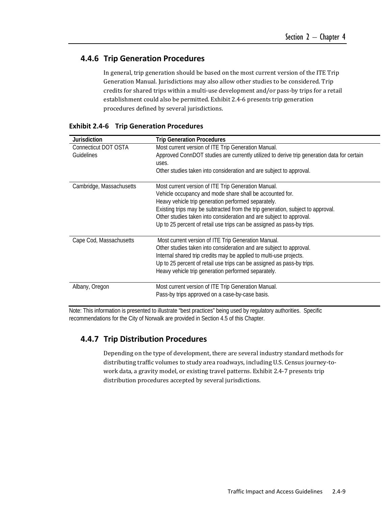## **4.4.6 Trip Generation Procedures**

In general, trip generation should be based on the most current version of the ITE Trip Generation Manual. Jurisdictions may also allow other studies to be considered. Trip credits for shared trips within a multi-use development and/or pass-by trips for a retail establishment could also be permitted. Exhibit 2.4-6 presents trip generation procedures defined by several jurisdictions.

| Jurisdiction             | <b>Trip Generation Procedures</b>                                                          |
|--------------------------|--------------------------------------------------------------------------------------------|
| Connecticut DOT OSTA     | Most current version of ITE Trip Generation Manual.                                        |
| Guidelines               | Approved ConnDOT studies are currently utilized to derive trip generation data for certain |
|                          | uses.                                                                                      |
|                          | Other studies taken into consideration and are subject to approval.                        |
|                          |                                                                                            |
| Cambridge, Massachusetts | Most current version of ITE Trip Generation Manual.                                        |
|                          | Vehicle occupancy and mode share shall be accounted for.                                   |
|                          | Heavy vehicle trip generation performed separately.                                        |
|                          | Existing trips may be subtracted from the trip generation, subject to approval.            |
|                          | Other studies taken into consideration and are subject to approval.                        |
|                          | Up to 25 percent of retail use trips can be assigned as pass-by trips.                     |
| Cape Cod, Massachusetts  | Most current version of ITE Trip Generation Manual.                                        |
|                          | Other studies taken into consideration and are subject to approval.                        |
|                          | Internal shared trip credits may be applied to multi-use projects.                         |
|                          | Up to 25 percent of retail use trips can be assigned as pass-by trips.                     |
|                          | Heavy vehicle trip generation performed separately.                                        |
|                          |                                                                                            |
| Albany, Oregon           | Most current version of ITE Trip Generation Manual.                                        |
|                          | Pass-by trips approved on a case-by-case basis.                                            |

|  | <b>Exhibit 2.4-6 Trip Generation Procedures</b> |  |
|--|-------------------------------------------------|--|
|--|-------------------------------------------------|--|

Note: This information is presented to illustrate "best practices" being used by regulatory authorities. Specific recommendations for the City of Norwalk are provided in Section 4.5 of this Chapter.

## **4.4.7 Trip Distribution Procedures**

Depending on the type of development, there are several industry standard methods for distributing traffic volumes to study area roadways, including U.S. Census journey-towork data, a gravity model, or existing travel patterns. Exhibit 2.4-7 presents trip distribution procedures accepted by several jurisdictions.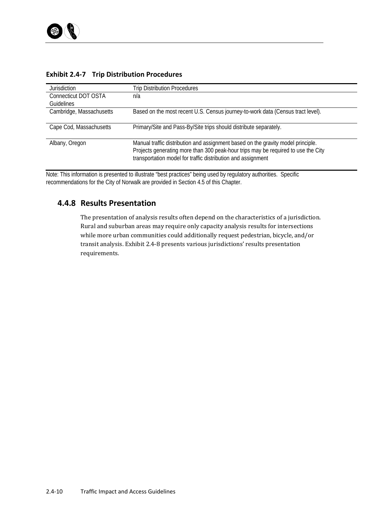| <b>Jurisdiction</b>      | Trip Distribution Procedures                                                      |
|--------------------------|-----------------------------------------------------------------------------------|
| Connecticut DOT OSTA     | n/a                                                                               |
| <b>Guidelines</b>        |                                                                                   |
| Cambridge, Massachusetts | Based on the most recent U.S. Census journey-to-work data (Census tract level).   |
|                          |                                                                                   |
| Cape Cod, Massachusetts  | Primary/Site and Pass-By/Site trips should distribute separately.                 |
|                          |                                                                                   |
| Albany, Oregon           | Manual traffic distribution and assignment based on the gravity model principle.  |
|                          | Projects generating more than 300 peak-hour trips may be required to use the City |
|                          | transportation model for traffic distribution and assignment                      |
|                          |                                                                                   |

### **Exhibit 2.4‐7 Trip Distribution Procedures**

Note: This information is presented to illustrate "best practices" being used by regulatory authorities. Specific recommendations for the City of Norwalk are provided in Section 4.5 of this Chapter.

## **4.4.8 Results Presentation**

The presentation of analysis results often depend on the characteristics of a jurisdiction. Rural and suburban areas may require only capacity analysis results for intersections while more urban communities could additionally request pedestrian, bicycle, and/or transit analysis. Exhibit 2.4-8 presents various jurisdictions' results presentation requirements.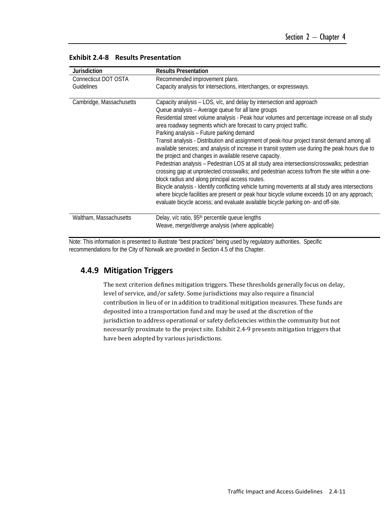| <b>Jurisdiction</b>      | <b>Results Presentation</b>                                                                                                                                                                                                                                                                                                                                                                                                                                                                                                                                                                                                                                                                                                                                                                                                                                                                                                                                     |
|--------------------------|-----------------------------------------------------------------------------------------------------------------------------------------------------------------------------------------------------------------------------------------------------------------------------------------------------------------------------------------------------------------------------------------------------------------------------------------------------------------------------------------------------------------------------------------------------------------------------------------------------------------------------------------------------------------------------------------------------------------------------------------------------------------------------------------------------------------------------------------------------------------------------------------------------------------------------------------------------------------|
| Connecticut DOT OSTA     | Recommended improvement plans.                                                                                                                                                                                                                                                                                                                                                                                                                                                                                                                                                                                                                                                                                                                                                                                                                                                                                                                                  |
| Guidelines               | Capacity analysis for intersections, interchanges, or expressways.                                                                                                                                                                                                                                                                                                                                                                                                                                                                                                                                                                                                                                                                                                                                                                                                                                                                                              |
| Cambridge, Massachusetts | Capacity analysis – LOS, v/c, and delay by intersection and approach<br>Queue analysis - Average queue for all lane groups<br>Residential street volume analysis - Peak hour volumes and percentage increase on all study<br>area roadway segments which are forecast to carry project traffic.<br>Parking analysis - Future parking demand<br>Transit analysis - Distribution and assignment of peak-hour project transit demand among all<br>available services; and analysis of increase in transit system use during the peak hours due to<br>the project and changes in available reserve capacity.<br>Pedestrian analysis - Pedestrian LOS at all study area intersections/crosswalks; pedestrian<br>crossing gap at unprotected crosswalks; and pedestrian access to/from the site within a one-<br>block radius and along principal access routes.<br>Bicycle analysis - Identify conflicting vehicle turning movements at all study area intersections |
| Waltham, Massachusetts   | where bicycle facilities are present or peak hour bicycle volume exceeds 10 on any approach;<br>evaluate bicycle access; and evaluate available bicycle parking on- and off-site.<br>Delay, v/c ratio, 95 <sup>th</sup> percentile queue lengths                                                                                                                                                                                                                                                                                                                                                                                                                                                                                                                                                                                                                                                                                                                |
|                          | Weave, merge/diverge analysis (where applicable)                                                                                                                                                                                                                                                                                                                                                                                                                                                                                                                                                                                                                                                                                                                                                                                                                                                                                                                |

#### **Exhibit 2.4‐8 Results Presentation**

Note: This information is presented to illustrate "best practices" being used by regulatory authorities. Specific recommendations for the City of Norwalk are provided in Section 4.5 of this Chapter.

### **4.4.9 Mitigation Triggers**

The next criterion defines mitigation triggers. These thresholds generally focus on delay, level of service, and/or safety. Some jurisdictions may also require a financial contribution in lieu of or in addition to traditional mitigation measures. These funds are deposited into a transportation fund and may be used at the discretion of the jurisdiction to address operational or safety deficiencies within the community but not necessarily proximate to the project site. Exhibit 2.4-9 presents mitigation triggers that have been adopted by various jurisdictions.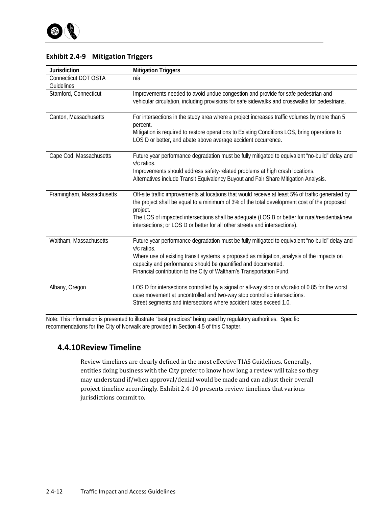| <b>Jurisdiction</b>       | <b>Mitigation Triggers</b>                                                                                                                                                    |
|---------------------------|-------------------------------------------------------------------------------------------------------------------------------------------------------------------------------|
| Connecticut DOT OSTA      | n/a                                                                                                                                                                           |
| Guidelines                |                                                                                                                                                                               |
| Stamford, Connecticut     | Improvements needed to avoid undue congestion and provide for safe pedestrian and                                                                                             |
|                           | vehicular circulation, including provisions for safe sidewalks and crosswalks for pedestrians.                                                                                |
| Canton, Massachusetts     | For intersections in the study area where a project increases traffic volumes by more than 5<br>percent.                                                                      |
|                           | Mitigation is required to restore operations to Existing Conditions LOS, bring operations to                                                                                  |
|                           | LOS D or better, and abate above average accident occurrence.                                                                                                                 |
| Cape Cod, Massachusetts   | Future year performance degradation must be fully mitigated to equivalent "no-build" delay and<br>v/c ratios.                                                                 |
|                           | Improvements should address safety-related problems at high crash locations.                                                                                                  |
|                           | Alternatives include Transit Equivalency Buyout and Fair Share Mitigation Analysis.                                                                                           |
| Framingham, Massachusetts | Off-site traffic improvements at locations that would receive at least 5% of traffic generated by                                                                             |
|                           | the project shall be equal to a minimum of 3% of the total development cost of the proposed<br>project.                                                                       |
|                           | The LOS of impacted intersections shall be adequate (LOS B or better for rural/residential/new<br>intersections; or LOS D or better for all other streets and intersections). |
| Waltham, Massachusetts    | Future year performance degradation must be fully mitigated to equivalent "no-build" delay and                                                                                |
|                           | v/c ratios.                                                                                                                                                                   |
|                           | Where use of existing transit systems is proposed as mitigation, analysis of the impacts on                                                                                   |
|                           | capacity and performance should be quantified and documented.                                                                                                                 |
|                           | Financial contribution to the City of Waltham's Transportation Fund.                                                                                                          |
| Albany, Oregon            | LOS D for intersections controlled by a signal or all-way stop or v/c ratio of 0.85 for the worst                                                                             |
|                           | case movement at uncontrolled and two-way stop controlled intersections.                                                                                                      |
|                           | Street segments and intersections where accident rates exceed 1.0.                                                                                                            |

### **Exhibit 2.4‐9 Mitigation Triggers**

Note: This information is presented to illustrate "best practices" being used by regulatory authorities. Specific recommendations for the City of Norwalk are provided in Section 4.5 of this Chapter.

## **4.4.10Review Timeline**

Review timelines are clearly defined in the most effective TIAS Guidelines. Generally, entities doing business with the City prefer to know how long a review will take so they may understand if/when approval/denial would be made and can adjust their overall project timeline accordingly. Exhibit 2.4-10 presents review timelines that various jurisdictions commit to.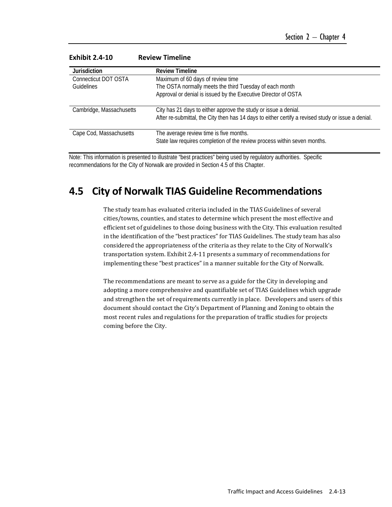| <b>Jurisdiction</b>      | <b>Review Timeline</b>                                                                                                                                                |
|--------------------------|-----------------------------------------------------------------------------------------------------------------------------------------------------------------------|
| Connecticut DOT OSTA     | Maximum of 60 days of review time                                                                                                                                     |
| <b>Guidelines</b>        | The OSTA normally meets the third Tuesday of each month                                                                                                               |
|                          | Approval or denial is issued by the Executive Director of OSTA                                                                                                        |
| Cambridge, Massachusetts | City has 21 days to either approve the study or issue a denial.<br>After re-submittal, the City then has 14 days to either certify a revised study or issue a denial. |
| Cape Cod, Massachusetts  | The average review time is five months.<br>State law requires completion of the review process within seven months.                                                   |

#### **Exhibit 2.4‐10 Review Timeline**

Note: This information is presented to illustrate "best practices" being used by regulatory authorities. Specific recommendations for the City of Norwalk are provided in Section 4.5 of this Chapter.

## **4.5 City of Norwalk TIAS Guideline Recommendations**

The study team has evaluated criteria included in the TIAS Guidelines of several cities/towns, counties, and states to determine which present the most effective and efficient set of guidelines to those doing business with the City. This evaluation resulted in the identification of the "best practices" for TIAS Guidelines. The study team has also considered the appropriateness of the criteria as they relate to the City of Norwalk's transportation system. Exhibit 2.4-11 presents a summary of recommendations for implementing these "best practices" in a manner suitable for the City of Norwalk.

The recommendations are meant to serve as a guide for the City in developing and adopting a more comprehensive and quantifiable set of TIAS Guidelines which upgrade and strengthen the set of requirements currently in place. Developers and users of this document should contact the City's Department of Planning and Zoning to obtain the most recent rules and regulations for the preparation of traffic studies for projects coming before the City.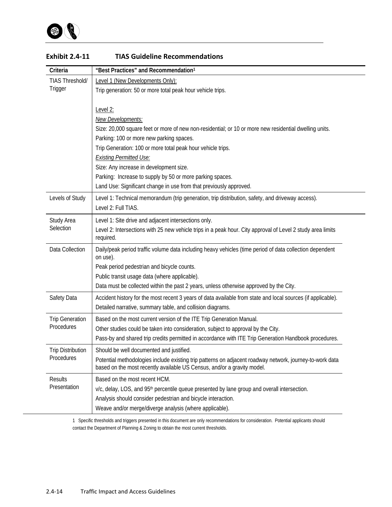

| Criteria                 | "Best Practices" and Recommendation1                                                                                            |
|--------------------------|---------------------------------------------------------------------------------------------------------------------------------|
| <b>TIAS Threshold/</b>   | Level 1 (New Developments Only):                                                                                                |
| Trigger                  | Trip generation: 50 or more total peak hour vehicle trips.                                                                      |
|                          |                                                                                                                                 |
|                          | Level 2:                                                                                                                        |
|                          | New Developments:                                                                                                               |
|                          | Size: 20,000 square feet or more of new non-residential; or 10 or more new residential dwelling units.                          |
|                          | Parking: 100 or more new parking spaces.                                                                                        |
|                          | Trip Generation: 100 or more total peak hour vehicle trips.                                                                     |
|                          | <b>Existing Permitted Use:</b>                                                                                                  |
|                          | Size: Any increase in development size.                                                                                         |
|                          | Parking: Increase to supply by 50 or more parking spaces.<br>Land Use: Significant change in use from that previously approved. |
|                          |                                                                                                                                 |
| Levels of Study          | Level 1: Technical memorandum (trip generation, trip distribution, safety, and driveway access).<br>Level 2: Full TIAS.         |
|                          |                                                                                                                                 |
| Study Area<br>Selection  | Level 1: Site drive and adjacent intersections only.                                                                            |
|                          | Level 2: Intersections with 25 new vehicle trips in a peak hour. City approval of Level 2 study area limits<br>required.        |
|                          |                                                                                                                                 |
| Data Collection          | Daily/peak period traffic volume data including heavy vehicles (time period of data collection dependent<br>on use).            |
|                          | Peak period pedestrian and bicycle counts.                                                                                      |
|                          | Public transit usage data (where applicable).                                                                                   |
|                          | Data must be collected within the past 2 years, unless otherwise approved by the City.                                          |
| Safety Data              | Accident history for the most recent 3 years of data available from state and local sources (if applicable).                    |
|                          | Detailed narrative, summary table, and collision diagrams.                                                                      |
| <b>Trip Generation</b>   | Based on the most current version of the ITE Trip Generation Manual.                                                            |
| Procedures               | Other studies could be taken into consideration, subject to approval by the City.                                               |
|                          | Pass-by and shared trip credits permitted in accordance with ITE Trip Generation Handbook procedures.                           |
| <b>Trip Distribution</b> | Should be well documented and justified.                                                                                        |
| Procedures               | Potential methodologies include existing trip patterns on adjacent roadway network, journey-to-work data                        |
|                          | based on the most recently available US Census, and/or a gravity model.                                                         |
| <b>Results</b>           | Based on the most recent HCM.                                                                                                   |
| Presentation             | v/c, delay, LOS, and 95 <sup>th</sup> percentile queue presented by lane group and overall intersection.                        |
|                          | Analysis should consider pedestrian and bicycle interaction.                                                                    |
|                          | Weave and/or merge/diverge analysis (where applicable).                                                                         |

#### **Exhibit 2.4‐11 TIAS Guideline Recommendations**

1 Specific thresholds and triggers presented in this document are only recommendations for consideration. Potential applicants should contact the Department of Planning & Zoning to obtain the most current thresholds.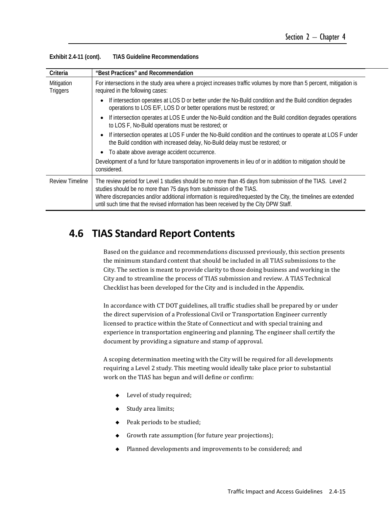| Criteria               | "Best Practices" and Recommendation                                                                                                                                                                                                                                                                                                                                                          |  |
|------------------------|----------------------------------------------------------------------------------------------------------------------------------------------------------------------------------------------------------------------------------------------------------------------------------------------------------------------------------------------------------------------------------------------|--|
| Mitigation<br>Triggers | For intersections in the study area where a project increases traffic volumes by more than 5 percent, mitigation is<br>required in the following cases:                                                                                                                                                                                                                                      |  |
|                        | If intersection operates at LOS D or better under the No-Build condition and the Build condition degrades<br>operations to LOS E/F, LOS D or better operations must be restored; or                                                                                                                                                                                                          |  |
|                        | If intersection operates at LOS E under the No-Build condition and the Build condition degrades operations<br>to LOS F, No-Build operations must be restored; or                                                                                                                                                                                                                             |  |
|                        | If intersection operates at LOS F under the No-Build condition and the continues to operate at LOS F under<br>the Build condition with increased delay, No-Build delay must be restored; or                                                                                                                                                                                                  |  |
|                        | To abate above average accident occurrence.                                                                                                                                                                                                                                                                                                                                                  |  |
|                        | Development of a fund for future transportation improvements in lieu of or in addition to mitigation should be<br>considered.                                                                                                                                                                                                                                                                |  |
| <b>Review Timeline</b> | The review period for Level 1 studies should be no more than 45 days from submission of the TIAS. Level 2<br>studies should be no more than 75 days from submission of the TIAS.<br>Where discrepancies and/or additional information is required/requested by the City, the timelines are extended<br>until such time that the revised information has been received by the City DPW Staff. |  |

| Exhibit 2.4-11 (cont). | <b>TIAS Guideline Recommendations</b> |
|------------------------|---------------------------------------|
|------------------------|---------------------------------------|

## **4.6 TIAS Standard Report Contents**

Based on the guidance and recommendations discussed previously, this section presents the minimum standard content that should be included in all TIAS submissions to the City. The section is meant to provide clarity to those doing business and working in the City and to streamline the process of TIAS submission and review. A TIAS Technical Checklist has been developed for the City and is included in the Appendix.

In accordance with CT DOT guidelines, all traffic studies shall be prepared by or under the direct supervision of a Professional Civil or Transportation Engineer currently licensed to practice within the State of Connecticut and with special training and experience in transportation engineering and planning. The engineer shall certify the document by providing a signature and stamp of approval.

A scoping determination meeting with the City will be required for all developments requiring a Level 2 study. This meeting would ideally take place prior to substantial work on the TIAS has begun and will define or confirm:

- $\blacklozenge$  Level of study required;
- ◆ Study area limits;
- $\blacklozenge$  Peak periods to be studied;
- $\bullet$  Growth rate assumption (for future year projections);
- $\blacklozenge$  Planned developments and improvements to be considered; and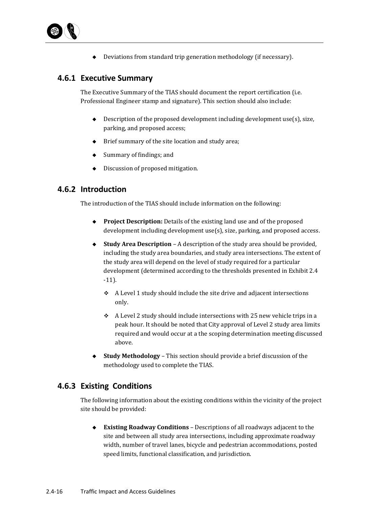

 $\blacklozenge$  Deviations from standard trip generation methodology (if necessary).

## **4.6.1 Executive Summary**

The Executive Summary of the TIAS should document the report certification (i.e. Professional Engineer stamp and signature). This section should also include:

- $\blacklozenge$  Description of the proposed development including development use(s), size, parking, and proposed access;
- $\blacklozenge$  Brief summary of the site location and study area;
- $\bullet$  Summary of findings; and
- $\bullet$  Discussion of proposed mitigation.

## **4.6.2 Introduction**

The introduction of the TIAS should include information on the following:

- ◆ **Project Description:** Details of the existing land use and of the proposed development including development  $use(s)$ , size, parking, and proposed access.
- ◆ **Study Area Description** A description of the study area should be provided, including the study area boundaries, and study area intersections. The extent of the study area will depend on the level of study required for a particular development (determined according to the thresholds presented in Exhibit 2.4 ‐11).
	- $\div$  A Level 1 study should include the site drive and adjacent intersections only.
	- $\div$  A Level 2 study should include intersections with 25 new vehicle trips in a peak hour. It should be noted that City approval of Level 2 study area limits required and would occur at a the scoping determination meeting discussed above.
- **Study Methodology** This section should provide a brief discussion of the methodology used to complete the TIAS.

## **4.6.3 Existing Conditions**

The following information about the existing conditions within the vicinity of the project site should be provided:

◆ **Existing Roadway Conditions** – Descriptions of all roadways adjacent to the site and between all study area intersections, including approximate roadway width, number of travel lanes, bicycle and pedestrian accommodations, posted speed limits, functional classification, and jurisdiction.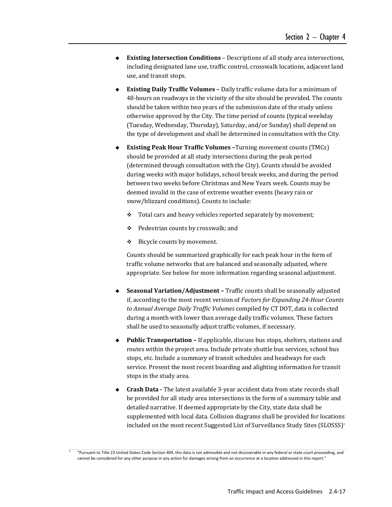- ◆ **Existing Intersection Conditions** Descriptions of all study area intersections, including designated lane use, traffic control, crosswalk locations, adjacent land use, and transit stops.
- **Existing Daily Traffic Volumes -** Daily traffic volume data for a minimum of 48-hours on roadways in the vicinity of the site should be provided. The counts should be taken within two years of the submission date of the study unless otherwise approved by the City. The time period of counts (typical weekday (Tuesday, Wednesday, Thursday), Saturday, and/or Sunday) shall depend on the type of development and shall be determined in consultation with the City.
- **Existing Peak Hour Traffic Volumes –**Turning movement counts (TMCs) should be provided at all study intersections during the peak period (determined through consultation with the City). Counts should be avoided during weeks with major holidays, school break weeks, and during the period between two weeks before Christmas and New Years week. Counts may be deemed invalid in the case of extreme weather events (heavy rain or snow/blizzard conditions). Counts to include:
	- \* Total cars and heavy vehicles reported separately by movement;
	- ◆ Pedestrian counts by crosswalk; and
	- $\div$  Bicycle counts by movement.

Counts should be summarized graphically for each peak hour in the form of traffic volume networks that are balanced and seasonally adjusted, where appropriate. See below for more information regarding seasonal adjustment.

- **Seasonal Variation/Adjustment –** Traffic counts shall be seasonally adjusted if, according to the most recent version of *Factors for Expanding 24‐Hour Counts to Annual Average Daily Traffic Volumes* compiled by CT DOT, data is collected during a month with lower than average daily traffic volumes. These factors shall be used to seasonally adjust traffic volumes, if necessary.
- **Public Transportation** If applicable, discuss bus stops, shelters, stations and routes within the project area. Include private shuttle bus services, school bus stops, etc. Include a summary of transit schedules and headways for each service. Present the most recent boarding and alighting information for transit stops in the study area.
- ◆ **Crash Data** The latest available 3-year accident data from state records shall be provided for all study area intersections in the form of a summary table and detailed narrative. If deemed appropriate by the City, state data shall be supplemented with local data. Collision diagrams shall be provided for locations included on the most recent Suggested List of Surveillance Study Sites (SLOSSS)<sup>1</sup>

1

 "Pursuant to Title 23 United States Code Section 409, this data is not admissible and not discoverable in any federal or state court proceeding, and cannot be considered for any other purpose in any action for damages arising from an occurrence at a location addressed in this report."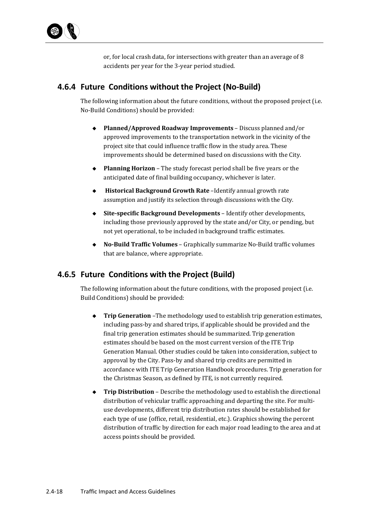or, for local crash data, for intersections with greater than an average of 8 accidents per year for the 3-year period studied.

## **4.6.4 Future Conditions without the Project (No‐Build)**

The following information about the future conditions, without the proposed project (i.e. No-Build Conditions) should be provided:

- ◆ **Planned/Approved Roadway Improvements** Discuss planned and/or approved improvements to the transportation network in the vicinity of the project site that could influence traffic flow in the study area. These improvements should be determined based on discussions with the City.
- ◆ **Planning Horizon** The study forecast period shall be five years or the anticipated date of final building occupancy, whichever is later.
- **Historical Background Growth Rate -Identify annual growth rate** assumption and justify its selection through discussions with the City.
- ◆ Site-specific Background Developments Identify other developments, including those previously approved by the state and/or City, or pending, but not yet operational, to be included in background traffic estimates.
- ◆ **No-Build Traffic Volumes** Graphically summarize No-Build traffic volumes that are balance, where appropriate.

### **4.6.5 Future Conditions with the Project (Build)**

The following information about the future conditions, with the proposed project (i.e. Build Conditions) should be provided:

- ◆ **Trip Generation** –The methodology used to establish trip generation estimates, including pass-by and shared trips, if applicable should be provided and the final trip generation estimates should be summarized. Trip generation estimates should be based on the most current version of the ITE Trip Generation Manual. Other studies could be taken into consideration, subject to approval by the City. Pass-by and shared trip credits are permitted in accordance with ITE Trip Generation Handbook procedures. Trip generation for the Christmas Season, as defined by ITE, is not currently required.
- ◆ **Trip Distribution** Describe the methodology used to establish the directional distribution of vehicular traffic approaching and departing the site. For multiuse developments, different trip distribution rates should be established for each type of use (office, retail, residential, etc.). Graphics showing the percent distribution of traffic by direction for each major road leading to the area and at access points should be provided.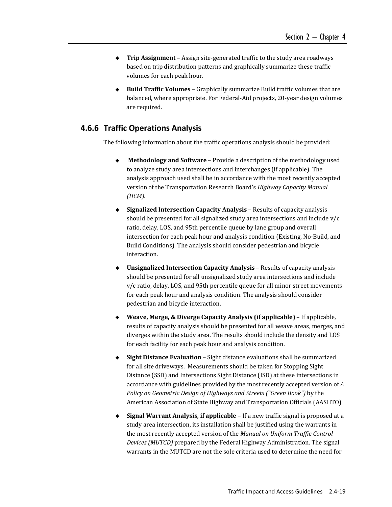- ◆ **Trip Assignment** Assign site-generated traffic to the study area roadways based on trip distribution patterns and graphically summarize these traffic volumes for each peak hour.
- ◆ **Build Traffic Volumes** Graphically summarize Build traffic volumes that are balanced, where appropriate. For Federal-Aid projects, 20-year design volumes are required.

### **4.6.6 Traffic Operations Analysis**

The following information about the traffic operations analysis should be provided:

- **Methodology** and **Software** Provide a description of the methodology used to analyze study area intersections and interchanges (if applicable). The analysis approach used shall be in accordance with the most recently accepted version of the Transportation Research Board's *Highway Capacity Manual (HCM).*
- ◆ Signalized Intersection Capacity Analysis Results of capacity analysis should be presented for all signalized study area intersections and include  $v/c$ ratio, delay, LOS, and 95th percentile queue by lane group and overall intersection for each peak hour and analysis condition (Existing, No-Build, and Build Conditions). The analysis should consider pedestrian and bicycle interaction.
- **Unsignalized Intersection Capacity Analysis** Results of capacity analysis should be presented for all unsignalized study area intersections and include  $v/c$  ratio, delay, LOS, and 95th percentile queue for all minor street movements for each peak hour and analysis condition. The analysis should consider pedestrian and bicycle interaction.
- **Weave, Merge, & Diverge Capacity Analysis (if applicable)** – If applicable, results of capacity analysis should be presented for all weave areas, merges, and diverges within the study area. The results should include the density and LOS for each facility for each peak hour and analysis condition.
- ◆ Sight Distance Evaluation Sight distance evaluations shall be summarized for all site driveways. Measurements should be taken for Stopping Sight Distance (SSD) and Intersections Sight Distance (ISD) at these intersections in accordance with guidelines provided by the most recently accepted version of A *Policy on Geometric Design of Highways and Streets ("Green Book")* by the American Association of State Highway and Transportation Officials (AASHTO).
- ◆ Signal Warrant Analysis, if applicable If a new traffic signal is proposed at a study area intersection, its installation shall be justified using the warrants in the most recently accepted version of the *Manual on Uniform Traffic Control Devices* (MUTCD) prepared by the Federal Highway Administration. The signal warrants in the MUTCD are not the sole criteria used to determine the need for